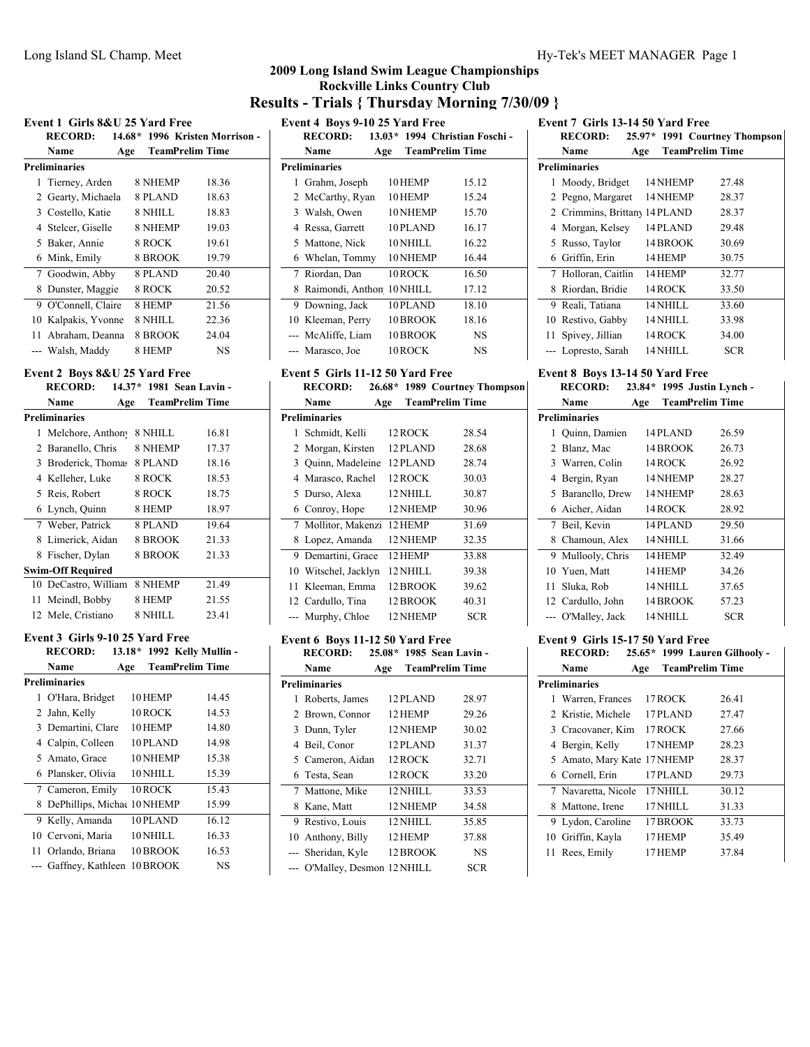## **2009 Long Island Swim League Championships Rockville Links Country Club Results - Trials { Thursday Morning 7/30/09 }**

| Event 1 Girls 8&U 25 Yard Free |          |         |                        |                         |
|--------------------------------|----------|---------|------------------------|-------------------------|
| <b>RECORD:</b>                 | $14.68*$ |         |                        | 1996 Kristen Morrison - |
| Name                           | Age      |         | <b>TeamPrelim Time</b> |                         |
| <b>Preliminaries</b>           |          |         |                        |                         |
| 1 Tierney, Arden               |          | 8 NHEMP |                        | 18.36                   |
| 2 Gearty, Michaela             |          | 8 PLAND |                        | 18.63                   |
| 3 Costello, Katie              |          | 8 NHILL |                        | 18.83                   |
| 4 Stelcer, Giselle             |          | 8 NHEMP |                        | 19.03                   |
| 5 Baker, Annie                 |          | 8 ROCK  |                        | 19.61                   |
| 6 Mink, Emily                  |          | 8 BROOK |                        | 19.79                   |
| 7 Goodwin, Abby                |          | 8 PLAND |                        | 20.40                   |
| 8 Dunster, Maggie              |          | 8 ROCK  |                        | 20.52                   |
| 9 O'Connell, Claire            |          | 8 HEMP  |                        | 21.56                   |
| 10 Kalpakis, Yvonne            |          | 8 NHILL |                        | 22.36                   |
| 11 Abraham, Deanna             |          | 8 BROOK |                        | 24.04                   |
| --- Walsh, Maddy               |          | 8 HEMP  |                        | NS                      |

#### **Event 2 Boys 8&U 25 Yard Free**

|    | <b>RECORD:</b><br>$14.37*$ |                | 1981 Sean Lavin -      |
|----|----------------------------|----------------|------------------------|
|    | Name<br>Age                |                | <b>TeamPrelim Time</b> |
|    | <b>Preliminaries</b>       |                |                        |
| 1  | Melchore, Anthony          | 8 NHILL        | 16.81                  |
|    | 2 Baranello, Chris         | 8 NHEMP        | 17.37                  |
|    | 3 Broderick, Thomas        | 8 PLAND        | 18.16                  |
|    | 4 Kelleher, Luke           | 8 ROCK         | 18.53                  |
|    | 5 Reis, Robert             | 8 ROCK         | 18.75                  |
|    | 6 Lynch, Quinn             | 8 HEMP         | 18.97                  |
|    | 7 Weber, Patrick           | 8 PLAND        | 19.64                  |
|    | 8 Limerick, Aidan          | 8 BROOK        | 21.33                  |
| 8  | Fischer, Dylan             | 8 BROOK        | 21.33                  |
|    | <b>Swim-Off Required</b>   |                |                        |
|    | 10 DeCastro, William       | <b>8 NHEMP</b> | 21.49                  |
| 11 | Meindl, Bobby              | 8 HEMP         | 21.55                  |
|    | 12 Mele, Cristiano         | 8 NHILL        | 23.41                  |

# **Event 3 Girls 9-10 25 Yard Free<br>RECORD:** 13.18\* 1992 Kelly

|    | <b>RECORD:</b>       | 13.18* |          |                        | 1992 Kelly Mullin - |
|----|----------------------|--------|----------|------------------------|---------------------|
|    | Name                 | Age    |          | <b>TeamPrelim Time</b> |                     |
|    | <b>Preliminaries</b> |        |          |                        |                     |
| 1. | O'Hara, Bridget      |        | 10 HEMP  |                        | 14.45               |
|    | 2 Jahn, Kelly        |        | 10 ROCK  |                        | 14.53               |
|    | 3 Demartini, Clare   |        | 10 HEMP  |                        | 14.80               |
|    | 4 Calpin, Colleen    |        | 10 PLAND |                        | 14.98               |
|    | 5 Amato, Grace       |        | 10 NHEMP |                        | 15.38               |
|    | 6 Plansker, Olivia   |        | 10 NHILL |                        | 15.39               |
|    | 7 Cameron, Emily     |        | 10 ROCK  |                        | 15.43               |
| 8  | DePhillips, Michae   |        | 10 NHEMP |                        | 15.99               |
|    | 9 Kelly, Amanda      |        | 10 PLAND |                        | 16.12               |
|    | 10 Cervoni, Maria    |        | 10 NHILL |                        | 16.33               |
| 11 | Orlando, Briana      |        | 10 BROOK |                        | 16.53               |
|    | Gaffney, Kathleen    |        | 10 BROOK |                        | NS                  |

|   | Event 4 Boys 9-10 25 Yard Free |                                |       |
|---|--------------------------------|--------------------------------|-------|
|   | <b>RECORD:</b>                 | 13.03* 1994 Christian Foschi - |       |
|   | Name<br>Age                    | <b>TeamPrelim Time</b>         |       |
|   | <b>Preliminaries</b>           |                                |       |
| 1 | Grahm, Joseph                  | 10 HEMP                        | 15.12 |
|   | 2 McCarthy, Ryan               | 10 HEMP                        | 15.24 |
|   | 3 Walsh, Owen                  | 10 NHEMP                       | 15.70 |
|   | 4 Ressa, Garrett               | 10 PLAND                       | 16.17 |
|   | 5 Mattone, Nick                | 10 NHILL                       | 16.22 |
|   | 6 Whelan, Tommy                | 10 NHEMP                       | 16.44 |
|   | 7 Riordan, Dan                 | 10 ROCK                        | 16.50 |
| 8 | Raimondi, Anthon 10 NHILL      |                                | 17.12 |
|   | 9 Downing, Jack                | 10 PLAND                       | 18.10 |
|   | 10 Kleeman, Perry              | 10 BROOK                       | 18.16 |
|   | --- McAliffe, Liam             | 10 BROOK                       | NS    |
|   | --- Marasco, Joe               | 10 ROCK                        | NS    |

#### **Event 5 Girls 11-12 50 Yard Free RECORD:** 26.68\* 1989 Courtney Thompson

|   | Name                 | Age | <b>TeamPrelim Time</b> |       |
|---|----------------------|-----|------------------------|-------|
|   | <b>Preliminaries</b> |     |                        |       |
| 1 | Schmidt, Kelli       |     | 12 ROCK                | 28.54 |
|   | 2 Morgan, Kirsten    |     | 12 PLAND               | 28.68 |
|   | 3 Ouinn, Madeleine   |     | 12 PLAND               | 28.74 |
|   | 4 Marasco, Rachel    |     | 12 ROCK                | 30.03 |
|   | 5 Durso, Alexa       |     | 12 NHILL               | 30.87 |
|   | 6 Conroy, Hope       |     | 12 NHEMP               | 30.96 |
|   | 7 Mollitor, Makenzi  |     | 12 HEMP                | 31.69 |
|   | 8 Lopez, Amanda      |     | 12 NHEMP               | 32.35 |
|   | 9 Demartini, Grace   |     | 12 HEMP                | 33.88 |
|   | 10 Witschel, Jacklyn |     | $12$ NHILL             | 39.38 |
|   | 11 Kleeman, Emma     |     | 12 BROOK               | 39.62 |
|   | 12 Cardullo, Tina    |     | 12 BROOK               | 40.31 |
|   | --- Murphy, Chloe    |     | 12 NHEMP               | SCR   |

# **Event 6 Boys 11-12 50 Yard Free**

|   | <b>RECORD:</b>                | $25.08*$ |          | 1985 Sean Lavin - |           |  |
|---|-------------------------------|----------|----------|-------------------|-----------|--|
|   | Name                          | Age      |          | TeamPrelim Time   |           |  |
|   | <b>Preliminaries</b>          |          |          |                   |           |  |
|   | 1 Roberts, James              |          | 12 PLAND |                   | 28.97     |  |
|   | 2 Brown, Connor               |          | 12 HEMP  |                   | 29.26     |  |
|   | 3 Dunn, Tyler                 |          | 12 NHEMP |                   | 30.02     |  |
|   | 4 Beil, Conor                 |          | 12 PLAND |                   | 31.37     |  |
|   | 5 Cameron, Aidan              |          | 12 ROCK  |                   | 32.71     |  |
|   | 6 Testa, Sean                 |          | 12 ROCK  |                   | 33.20     |  |
|   | 7 Mattone, Mike               |          | 12 NHILL |                   | 33.53     |  |
| 8 | Kane, Matt                    |          | 12 NHEMP |                   | 34.58     |  |
|   | 9 Restivo, Louis              |          | 12 NHILL |                   | 35.85     |  |
|   | 10 Anthony, Billy             |          | 12 HEMP  |                   | 37.88     |  |
|   | --- Sheridan, Kyle            |          | 12 BROOK |                   | <b>NS</b> |  |
|   | --- O'Malley, Desmon 12 NHILL |          |          |                   | SCR       |  |

|   | Event 7 Girls 13-14 50 Yard Free |                               |            |
|---|----------------------------------|-------------------------------|------------|
|   | <b>RECORD:</b>                   | 25.97* 1991 Courtney Thompson |            |
|   | Name<br>Age                      | <b>TeamPrelim Time</b>        |            |
|   | <b>Preliminaries</b>             |                               |            |
|   | 1 Moody, Bridget                 | 14 NHEMP                      | 27.48      |
|   | 2 Pegno, Margaret                | 14 NHEMP                      | 28.37      |
|   | 2 Crimmins, Brittany             | 14 PLAND                      | 28.37      |
|   | 4 Morgan, Kelsey                 | 14 PLAND                      | 29.48      |
|   | 5 Russo, Taylor                  | 14 BROOK                      | 30.69      |
|   | 6 Griffin, Erin                  | 14 HEMP                       | 30.75      |
|   | 7 Holloran, Caitlin              | 14 HEMP                       | 32.77      |
| 8 | Riordan, Bridie                  | 14 ROCK                       | 33.50      |
| 9 | Reali, Tatiana                   | 14 NHILL                      | 33.60      |
|   | 10 Restivo, Gabby                | 14 NHILL                      | 33.98      |
|   | 11 Spivey, Jillian               | 14 ROCK                       | 34.00      |
|   | --- Lopresto, Sarah              | 14 NHILL                      | <b>SCR</b> |

# **Event 8 Boys 13-14 50 Yard Free**

| <b>RECORD:</b>       |     |                 | 23.84* 1995 Justin Lynch - |
|----------------------|-----|-----------------|----------------------------|
| Name                 | Age |                 | <b>TeamPrelim Time</b>     |
| <b>Preliminaries</b> |     |                 |                            |
| 1 Ouinn, Damien      |     | 14 PLAND        | 26.59                      |
| 2 Blanz, Mac         |     | 14 BROOK        | 26.73                      |
| 3 Warren, Colin      |     | 14 ROCK         | 26.92                      |
| 4 Bergin, Ryan       |     | 14 NHEMP        | 28.27                      |
| 5 Barancllo, Drew    |     | 14 NHEMP        | 28.63                      |
| 6 Aicher, Aidan      |     | 14 ROCK         | 28.92                      |
| 7 Beil, Kevin        |     | 14 PLAND        | 29.50                      |
| 8 Chamoun, Alex      |     | <b>14 NHILL</b> | 31.66                      |
| 9 Mullooly, Chris    |     | 14 HEMP         | 32.49                      |
| 10 Yuen, Matt        |     | 14 HEMP         | 34.26                      |
| 11 Sluka, Rob        |     | 14 NHILL        | 37.65                      |
| 12 Cardullo, John    |     | 14 BROOK        | 57.23                      |
| --- O'Malley, Jack   |     | 14 NHILL        | <b>SCR</b>                 |

#### **Event 9 Girls 15-17 50 Yard Free**

|   | <b>RECORD:</b>              | $25.65*$ |          |                        | 1999 Lauren Gilhooly - |
|---|-----------------------------|----------|----------|------------------------|------------------------|
|   | Name                        | Age      |          | <b>TeamPrelim Time</b> |                        |
|   | <b>Preliminaries</b>        |          |          |                        |                        |
| L | Warren, Frances             |          | 17 ROCK  |                        | 26.41                  |
|   | 2 Kristie, Michele          |          | 17 PLAND |                        | 27.47                  |
|   | 3 Cracovaner, Kim           |          | 17 ROCK  |                        | 27.66                  |
|   | 4 Bergin, Kelly             |          | 17 NHEMP |                        | 28.23                  |
|   | 5 Amato, Mary Kate 17 NHEMP |          |          |                        | 28.37                  |
|   | 6 Cornell, Erin             |          | 17 PLAND |                        | 29.73                  |
|   | 7 Navaretta, Nicole         |          | 17 NHILL |                        | 30.12                  |
|   | 8 Mattone, Irene            |          | 17 NHILL |                        | 31.33                  |
|   | 9 Lydon, Caroline           |          | 17 BROOK |                        | 33.73                  |
|   | 10 Griffin, Kayla           |          | 17 HEMP  |                        | 35.49                  |
|   | Rees, Emily                 |          | 17 HEMP  |                        | 37.84                  |
|   |                             |          |          |                        |                        |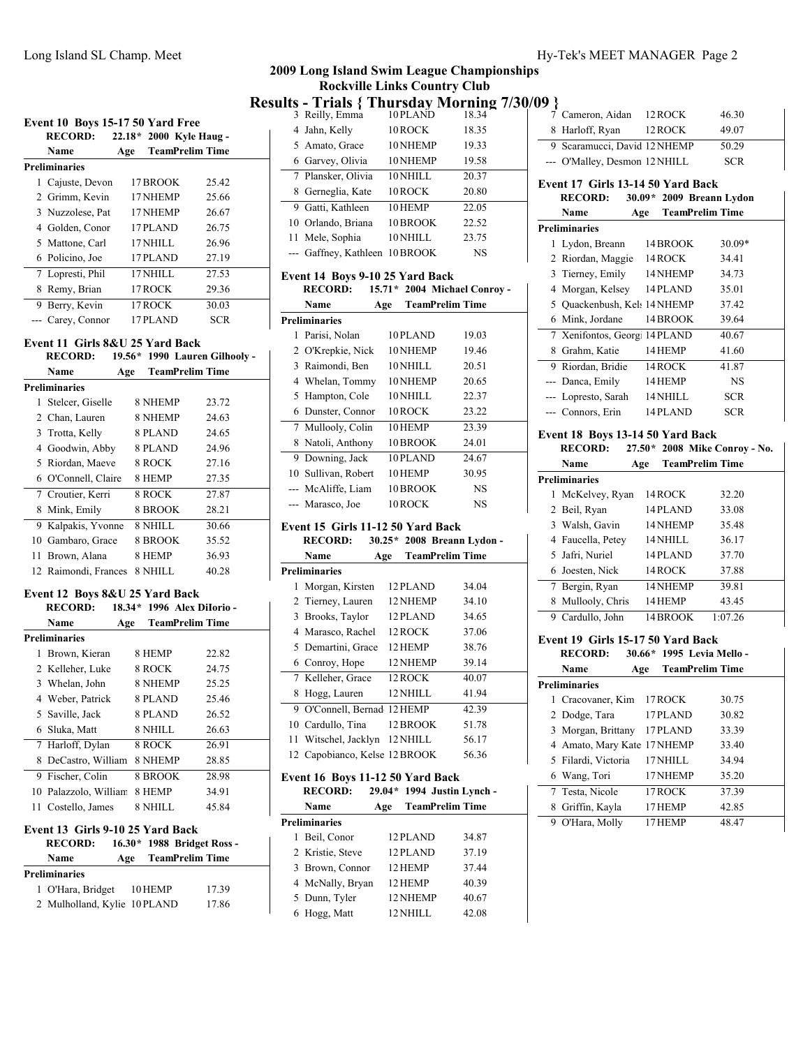# Long Island SL Champ. Meet Hy-Tek's MEET MANAGER Page 2

# **2009 Long Island Swim League Championships Rockville Links Country Club**

**Results - Trials { Thursday Morning 7/30/09 }**<br>3 Reilly, Emma 10PLAND 18.34 7 Cameron, Aidan 12 ROCK 46.30

| Event 10 Boys 15-17 50 Yard Free |                                 |     |          |                         |  |
|----------------------------------|---------------------------------|-----|----------|-------------------------|--|
|                                  | <b>RECORD:</b>                  |     |          | 22.18* 2000 Kyle Haug - |  |
|                                  | Name                            | Age |          | <b>TeamPrelim Time</b>  |  |
|                                  | <b>Preliminaries</b>            |     |          |                         |  |
|                                  | 1 Cajuste, Devon                |     | 17 BROOK | 25.42                   |  |
|                                  | 2 Grimm, Kevin                  |     | 17 NHEMP | 25.66                   |  |
|                                  | 3 Nuzzolese, Pat                |     | 17 NHEMP | 26.67                   |  |
|                                  | 4 Golden, Conor                 |     | 17 PLAND | 26.75                   |  |
|                                  | 5 Mattone, Carl                 |     | 17 NHILL | 26.96                   |  |
|                                  | 6 Policino, Joe                 |     | 17 PLAND | 27.19                   |  |
|                                  | 7 Lopresti, Phil                |     | 17 NHILL | 27.53                   |  |
|                                  | 8 Remy, Brian                   |     | 17 ROCK  | 29.36                   |  |
|                                  | 9 Berry, Kevin                  |     | 17 ROCK  | 30.03                   |  |
|                                  | --- Carey, Connor               |     | 17 PLAND | SCR                     |  |
|                                  | Event 11 Girls 8&U 25 Yard Back |     |          |                         |  |

|    | <b>RECORD:</b>       |     |         |                        | 19.56* 1990 Lauren Gilhooly - |
|----|----------------------|-----|---------|------------------------|-------------------------------|
|    | Name                 | Age |         | <b>TeamPrelim Time</b> |                               |
|    | <b>Preliminaries</b> |     |         |                        |                               |
| 1. | Stelcer, Giselle     |     | 8 NHEMP |                        | 23.72                         |
|    | 2 Chan, Lauren       |     | 8 NHEMP |                        | 24.63                         |
|    | 3 Trotta, Kelly      |     | 8 PLAND |                        | 24.65                         |
|    | 4 Goodwin, Abby      |     | 8 PLAND |                        | 24.96                         |
|    | 5 Riordan, Maeve     |     | 8 ROCK  |                        | 27.16                         |
|    | 6 O'Connell, Claire  |     | 8 HEMP  |                        | 27.35                         |
|    | 7 Croutier, Kerri    |     | 8 ROCK  |                        | 27.87                         |
|    | 8 Mink, Emily        |     | 8 BROOK |                        | 28.21                         |
|    | 9 Kalpakis, Yvonne   |     | 8 NHILL |                        | 30.66                         |
|    | 10 Gambaro, Grace    |     | 8 BROOK |                        | 35.52                         |
| 11 | Brown, Alana         |     | 8 HEMP  |                        | 36.93                         |
|    | 12 Raimondi, Frances |     | 8 NHILL |                        | 40.28                         |

#### **Event 12 Boys 8&U 25 Yard Back RECORD: 18.34 1996 \* Alex DiIorio -**

|   | Name                             | Age | <b>TeamPrelim Time</b>     |       |
|---|----------------------------------|-----|----------------------------|-------|
|   | <b>Preliminaries</b>             |     |                            |       |
| 1 | Brown, Kieran                    |     | 8 HEMP                     | 22.82 |
|   | 2 Kelleher, Luke                 |     | 8 ROCK                     | 24.75 |
|   | 3 Whelan, John                   |     | 8 NHEMP                    | 25.25 |
|   | 4 Weber, Patrick                 |     | 8 PLAND                    | 25.46 |
|   | 5 Saville, Jack                  |     | 8 PLAND                    | 26.52 |
|   | 6 Sluka, Matt                    |     | 8 NHILL                    | 26.63 |
|   | 7 Harloff, Dylan                 |     | 8 ROCK                     | 26.91 |
|   | 8 DeCastro, William              |     | 8 NHEMP                    | 28.85 |
|   | 9 Fischer, Colin                 |     | 8 BROOK                    | 28.98 |
|   | 10 Palazzolo, William            |     | 8 HEMP                     | 34.91 |
|   | 11 Costello, James               |     | 8 NHILL                    | 45.84 |
|   | Event 13 Girls 9-10 25 Yard Back |     |                            |       |
|   | <b>RECORD:</b>                   |     | 16.30* 1988 Bridget Ross - |       |
|   | Name                             | Age | <b>TeamPrelim Time</b>     |       |
|   | <b>Preliminaries</b>             |     |                            |       |

| 1 O'Hara, Bridget            | 10 HEMP | 17.39 |
|------------------------------|---------|-------|
| 2 Mulholland, Kylie 10 PLAND |         | 17.86 |

|                | 3 Reilly, Emma                                      | 10 PLAND                      | 18.34               |
|----------------|-----------------------------------------------------|-------------------------------|---------------------|
| 4              | Jahn, Kelly                                         | 10 ROCK                       | 18.35               |
|                | 5 Amato, Grace                                      | 10 NHEMP                      | 19.33               |
|                | 6 Garvey, Olivia                                    | 10 NHEMP                      | 19.58               |
| $\overline{7}$ | Plansker, Olivia                                    | 10 NHILL                      | 20.37               |
| 8              | Gerneglia, Kate                                     | 10 ROCK                       | 20.80               |
|                | 9 Gatti, Kathleen                                   | 10 HEMP                       | 22.05               |
|                | 10 Orlando, Briana                                  | 10 BROOK                      | 22.52               |
| 11             | Mele, Sophia                                        | 10 NHILL                      | 23.75               |
| ---            | Gaffney, Kathleen 10 BROOK                          |                               | <b>NS</b>           |
|                | Event 14 Boys 9-10 25 Yard Back<br><b>RECORD:</b>   | 15.71* 2004 Michael Conroy -  |                     |
|                | Name                                                | <b>TeamPrelim Time</b><br>Age |                     |
|                | <b>Preliminaries</b>                                |                               |                     |
|                | 1 Parisi, Nolan                                     | 10 PLAND                      | 19.03               |
|                | 2 O'Krepkie, Nick                                   | 10 NHEMP                      | 19.46               |
|                | 3 Raimondi, Ben                                     | 10 NHILL                      | 20.51               |
|                | 4 Whelan, Tommy                                     | 10 NHEMP                      | 20.65               |
| 5              | Hampton, Cole                                       | 10 NHILL                      | 22.37               |
| 6              | Dunster, Connor                                     | 10 ROCK                       | 23.22               |
| 7              | Mullooly, Colin                                     | 10 HEMP                       | 23.39               |
|                | 8 Natoli, Anthony                                   | 10 BROOK                      | 24.01               |
|                | 9 Downing, Jack                                     | 10 PLAND                      | 24.67               |
|                |                                                     |                               |                     |
|                | 10 Sullivan, Robert                                 | 10 HEMP                       | 30.95               |
|                | --- McAliffe, Liam                                  | 10 BROOK                      | <b>NS</b>           |
|                | --- Marasco, Joe                                    | 10 ROCK                       | NS                  |
|                | Event 15 Girls 11-12 50 Yard Back<br><b>RECORD:</b> | $30.25*$                      | 2008 Breann Lydon - |
|                | Name                                                | <b>TeamPrelim Time</b><br>Age |                     |
|                | <b>Preliminaries</b>                                |                               |                     |
| 1              | Morgan, Kirsten                                     | 12 PLAND                      | 34.04               |

| 2 Tierney, Lauren             | TZ NHEMP | 34.10 |
|-------------------------------|----------|-------|
| 3 Brooks, Taylor              | 12 PLAND | 34.65 |
| 4 Marasco, Rachel             | 12 ROCK  | 37.06 |
| 5 Demartini, Grace            | 12 HEMP  | 38.76 |
| 6 Conroy, Hope                | 12 NHEMP | 39.14 |
| 7 Kelleher, Grace             | 12 ROCK  | 40.07 |
| 8 Hogg, Lauren                | 12 NHILL | 41.94 |
| 9 O'Connell, Bernad 12 HEMP   |          | 42.39 |
| 10 Cardullo, Tina             | 12 BROOK | 51.78 |
| 11 Witschel, Jacklyn 12 NHILL |          | 56.17 |
| 12 Capobianco, Kelse 12 BROOK |          | 56.36 |

# **Event 16 Boys 11-12 50 Yard Back**

à.

l,

|                             | 29.04* 1994 Justin Lynch - |
|-----------------------------|----------------------------|
| Age                         | <b>TeamPrelim Time</b>     |
|                             |                            |
| 12 PLAND                    | 34.87                      |
| 12 PLAND                    | 37.19                      |
| 12 HEMP<br>3 Brown, Connor  | 37.44                      |
| 4 McNally, Bryan<br>12 HEMP | 40.39                      |
| 12 NHEMP                    | 40.67                      |
| 12 NHILL                    | 42.08                      |
|                             |                            |

| 8 Harloff, Ryan                   |  | 12 ROCK                  | 49.07      |  |  |  |  |
|-----------------------------------|--|--------------------------|------------|--|--|--|--|
| 9 Scaramucci, David 12 NHEMP      |  |                          | 50.29      |  |  |  |  |
| O'Malley, Desmon 12 NHILL         |  |                          | <b>SCR</b> |  |  |  |  |
| Event 17 Girls 13-14 50 Yard Back |  |                          |            |  |  |  |  |
| <b>RECORD:</b>                    |  | 30.09* 2009 Breann Lydon |            |  |  |  |  |
| Name                              |  | Age TeamPrelim Time      |            |  |  |  |  |
| <b>Preliminaries</b>              |  |                          |            |  |  |  |  |
| 1 Lydon, Breann                   |  | 14 BROOK                 | $30.09*$   |  |  |  |  |
| 2 Riordan, Maggie                 |  | 14 ROCK                  | 34.41      |  |  |  |  |
| 3 Tierney, Emily                  |  | 14 NHEMP                 | 34.73      |  |  |  |  |
| 4 Morgan, Kelsey                  |  | 14 PLAND                 | 35.01      |  |  |  |  |
| 5 Quackenbush, Kel: 14 NHEMP      |  |                          | 37.42      |  |  |  |  |
| 6 Mink, Jordane                   |  | 14 BROOK                 | 39.64      |  |  |  |  |
| 7 Xenifontos, Georg: 14 PLAND     |  |                          | 40.67      |  |  |  |  |
| 8 Grahm, Katie                    |  | 14 HEMP                  | 41.60      |  |  |  |  |
| 9 Riordan, Bridie                 |  | 14 ROCK                  | 41.87      |  |  |  |  |
| --- Danca, Emily                  |  | 14 HEMP                  | <b>NS</b>  |  |  |  |  |
| --- Lopresto, Sarah               |  | 14 NHILL                 | <b>SCR</b> |  |  |  |  |
| --- Connors, Erin                 |  | 14 PLAND                 | SCR        |  |  |  |  |

### **Event 18 Boys 13-14 50 Yard Back**

| <b>RECORD:</b>       |     |            | 27.50* 2008 Mike Conroy - No. |
|----------------------|-----|------------|-------------------------------|
| Name                 | Age |            | <b>TeamPrelim Time</b>        |
| <b>Preliminaries</b> |     |            |                               |
| 1 McKelvey, Ryan     |     | 14 ROCK    | 32.20                         |
| 2 Beil, Ryan         |     | 14 PLAND   | 33.08                         |
| 3 Walsh, Gavin       |     | 14 NHEMP   | 35.48                         |
| 4 Faucella, Petey    |     | $14$ NHILL | 36.17                         |
| 5 Jafri, Nuriel      |     | 14 PLAND   | 37.70                         |
| 6 Joesten, Nick      |     | 14 ROCK    | 37.88                         |
| 7 Bergin, Ryan       |     | 14 NHEMP   | 39.81                         |
| 8 Mullooly, Chris    |     | 14 HEMP    | 43.45                         |
| 9 Cardullo, John     |     | 14 BROOK   | 1:07.26                       |

### **Event 19 Girls 15-17 50 Yard Back**

|   | <b>RECORD:</b>              |          | 30.66* 1995 Levia Mello - |  |
|---|-----------------------------|----------|---------------------------|--|
|   | Name<br>Age                 |          | TeamPrelim Time           |  |
|   | <b>Preliminaries</b>        |          |                           |  |
|   | 1 Cracovaner, Kim           | 17 ROCK  | 30.75                     |  |
|   | 2 Dodge, Tara               | 17 PLAND | 30.82                     |  |
|   | 3 Morgan, Brittany          | 17 PLAND | 33.39                     |  |
|   | 4 Amato, Mary Kate 17 NHEMP |          | 33.40                     |  |
|   | 5 Filardi, Victoria         | 17 NHILL | 34.94                     |  |
|   | 6 Wang, Tori                | 17 NHEMP | 35.20                     |  |
|   | 7 Testa, Nicole             | 17 ROCK  | 37.39                     |  |
| 8 | Griffin, Kayla              | 17 HEMP  | 42.85                     |  |
| 9 | O'Hara, Molly               | 17 HEMP  | 48.47                     |  |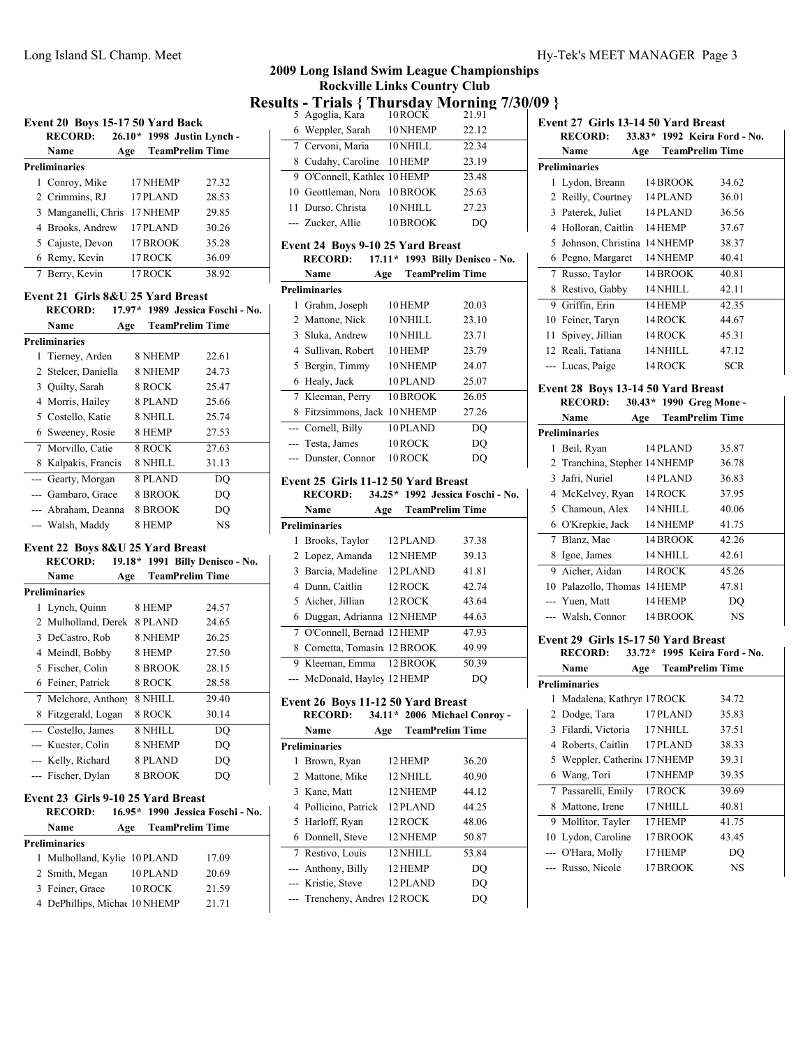# **2009 Long Island Swim League Championships Rockville Links Country Club**

# **Results - Trials { Thursday Morning 7/30/09 }**

| Event 20 Boys 15-17 50 Yard Back |                                                      |          |                |                           |   |
|----------------------------------|------------------------------------------------------|----------|----------------|---------------------------|---|
|                                  | <b>RECORD:</b>                                       | $26.10*$ |                | 1998 Justin Lynch -       |   |
|                                  | Name                                                 | Age      |                | <b>TeamPrelim Time</b>    |   |
|                                  | <b>Preliminaries</b>                                 |          |                |                           |   |
|                                  | 1 Conroy, Mike                                       |          | 17 NHEMP       | 27.32                     |   |
|                                  | 2 Crimmins, RJ                                       |          | 17 PLAND       | 28.53                     |   |
|                                  | 3 Manganelli, Chris 17 NHEMP                         |          |                | 29.85                     |   |
|                                  | 4 Brooks, Andrew                                     |          | 17 PLAND       | 30.26                     |   |
|                                  | 5 Cajuste, Devon                                     |          | 17 BROOK       | 35.28                     | F |
|                                  | 6 Remy, Kevin                                        |          | 17 ROCK        | 36.09                     |   |
| 7                                | Berry, Kevin                                         |          | 17 ROCK        | 38.92                     |   |
|                                  | Event 21 Girls 8&U 25 Yard Breast                    |          |                |                           | P |
|                                  | <b>RECORD:</b>                                       | $17.97*$ |                | 1989 Jessica Foschi - No. |   |
|                                  | Name                                                 | Age      |                | <b>TeamPrelim Time</b>    |   |
|                                  | <b>Preliminaries</b>                                 |          |                |                           |   |
| 1                                | Tierney, Arden                                       |          | 8 NHEMP        | 22.61                     |   |
|                                  | 2 Stelcer, Daniella                                  |          | 8 NHEMP        | 24.73                     |   |
|                                  | 3 Quilty, Sarah                                      |          | 8 ROCK         | 25.47                     |   |
|                                  | 4 Morris, Hailey                                     |          | 8 PLAND        | 25.66                     |   |
|                                  | 5 Costello, Katie                                    |          | 8 NHILL        | 25.74                     |   |
|                                  | 6 Sweeney, Rosie                                     |          | 8 HEMP         | 27.53                     |   |
| $\tau$                           | Morvillo, Catie                                      |          | 8 ROCK         | 27.63                     |   |
|                                  | 8 Kalpakis, Francis                                  |          | 8 NHILL        | 31.13                     |   |
|                                  | --- Gearty, Morgan                                   |          | 8 PLAND        | DQ                        | F |
|                                  | --- Gambaro, Grace                                   |          | 8 BROOK        | DQ                        |   |
|                                  | --- Abraham, Deanna                                  |          | 8 BROOK        | DQ                        |   |
|                                  | --- Walsh, Maddy                                     |          | 8 HEMP         | NS                        | P |
|                                  |                                                      |          |                |                           |   |
|                                  | Event 22 Boys 8&U 25 Yard Breast                     |          |                |                           |   |
|                                  | <b>RECORD:</b>                                       | $19.18*$ |                | 1991 Billy Denisco - No.  |   |
|                                  | Name                                                 | Age      |                | <b>TeamPrelim Time</b>    |   |
|                                  | <b>Preliminaries</b>                                 |          |                |                           |   |
| 1                                | Lynch, Quinn                                         |          | 8 HEMP         | 24.57                     |   |
|                                  | 2 Mulholland, Derek 8 PLAND                          |          |                | 24.65                     |   |
|                                  | 3 DeCastro, Rob                                      |          | 8 NHEMP        | 26.25                     |   |
|                                  | 4 Meindl, Bobby                                      |          | 8 HEMP         | 27.50                     |   |
|                                  | 5 Fischer, Colin                                     |          | 8 BROOK        | 28.15                     |   |
|                                  | 6 Feiner, Patrick                                    |          | 8 ROCK         | 28.58                     |   |
| 7                                | Melchore, Anthony                                    |          | 8 NHILL        | 29.40                     | ŀ |
|                                  | 8 Fitzgerald, Logan                                  |          | 8 ROCK         | 30.14                     |   |
|                                  | - Costello, James                                    |          | <b>8 NHILL</b> | DQ                        |   |
|                                  | --- Kuester, Colin                                   |          | 8 NHEMP        | DQ                        | P |
|                                  | --- Kelly, Richard                                   |          | 8 PLAND        | DQ                        |   |
|                                  | --- Fischer, Dylan                                   |          | 8 BROOK        | DQ                        |   |
|                                  |                                                      |          |                |                           |   |
|                                  | Event 23 Girls 9-10 25 Yard Breast<br><b>RECORD:</b> | $16.95*$ |                | 1990 Jessica Foschi - No. |   |
|                                  |                                                      |          |                | <b>TeamPrelim Time</b>    |   |
|                                  | Name                                                 | Age      |                |                           |   |

**Preliminaries**

1 Mulholland, Kylie 10 PLAND 17.09 2 Smith, Megan 10 PLAND 20.69 3 Feiner, Grace 10ROCK 21.59 4 DePhillips, Michae 10 NHEMP 21.71

÷,

| 5               | Agoglia, Kara                                       | 10 ROCK                          | 21.91          |
|-----------------|-----------------------------------------------------|----------------------------------|----------------|
|                 | 6 Weppler, Sarah                                    | 10 NHEMP                         | 22.12          |
| $7\phantom{.0}$ | Cervoni, Maria                                      | 10 NHILL                         | 22.34          |
|                 | 8 Cudahy, Caroline                                  | 10 HEMP                          | 23.19          |
|                 | 9 O'Connell, Kathlee 10 HEMP                        |                                  | 23.48          |
|                 | 10 Geottleman, Nora                                 | 10 BROOK                         | 25.63          |
|                 | 11 Durso, Christa                                   | 10 NHILL                         | 27.23          |
|                 | --- Zucker, Allie                                   | 10 BROOK                         | DQ             |
|                 |                                                     |                                  |                |
|                 | Event 24 Boys 9-10 25 Yard Breast<br><b>RECORD:</b> | 17.11* 1993 Billy Denisco - No.  |                |
|                 | Name                                                | Age TeamPrelim Time              |                |
|                 | <b>Preliminaries</b>                                |                                  |                |
|                 | 1 Grahm, Joseph                                     | 10 HEMP                          | 20.03          |
|                 | 2 Mattone, Nick                                     | 10 NHILL                         | 23.10          |
|                 | 3 Sluka, Andrew                                     | 10 NHILL                         | 23.71          |
|                 | 4 Sullivan, Robert                                  | 10 HEMP                          | 23.79          |
|                 | 5 Bergin, Timmy                                     | 10 NHEMP                         | 24.07          |
|                 | 6 Healy, Jack                                       | 10 PLAND                         | 25.07          |
|                 | 7 Kleeman, Perry                                    | 10 BROOK                         | 26.05          |
|                 | 8 Fitzsimmons, Jack 10 NHEMP                        |                                  | 27.26          |
|                 | --- Cornell, Billy                                  | 10 PLAND                         | <b>DQ</b>      |
|                 | --- Testa, James                                    | 10 ROCK                          | DQ             |
|                 | --- Dunster, Connor                                 | 10 ROCK                          | <b>DQ</b>      |
|                 |                                                     |                                  |                |
|                 | Event 25 Girls 11-12 50 Yard Breast                 |                                  |                |
|                 | <b>RECORD:</b>                                      | 34.25* 1992 Jessica Foschi - No. |                |
|                 | Name                                                | Age TeamPrelim Time              |                |
|                 | <b>Preliminaries</b>                                |                                  |                |
| 1               | Brooks, Taylor                                      | 12 PLAND                         | 37.38          |
|                 | 2 Lopez, Amanda<br>3 Barcia, Madeline               | 12 NHEMP<br>12 PLAND             | 39.13          |
|                 | 4 Dunn, Caitlin                                     |                                  | 41.81          |
| 5               | Aicher, Jillian                                     | 12 ROCK<br>12 ROCK               | 42.74<br>43.64 |
|                 |                                                     |                                  |                |
| 6               |                                                     |                                  |                |
|                 |                                                     | Duggan, Adrianna 12 NHEMP        | 44.63          |
|                 | 7 O'Connell, Bernad 12 HEMP                         |                                  | 47.93          |
|                 | 8 Cornetta, Tomasin: 12 BROOK                       |                                  | 49.99          |
|                 | 9 Kleeman, Emma                                     | 12 BROOK                         | 50.39          |
| $---$           | McDonald, Hayley 12 HEMP                            |                                  | <b>DQ</b>      |
|                 | Event 26 Boys 11-12 50 Yard Breast                  |                                  |                |
|                 | <b>RECORD:</b>                                      | 34.11* 2006 Michael Conroy -     |                |
|                 | Name<br>Age                                         | <b>TeamPrelim Time</b>           |                |
|                 | Preliminaries                                       |                                  |                |
| 1               | Brown, Ryan                                         | 12 HEMP                          | 36.20          |
| 2               | Mattone, Mike                                       | 12 NHILL                         | 40.90          |
|                 | 3 Kane, Matt                                        | 12 NHEMP                         | 44.12          |
|                 | 4 Pollicino, Patrick                                | 12 PLAND                         | 44.25          |
| 5               | Harloff, Ryan                                       | 12 ROCK                          | 48.06          |
| 6               | Donnell, Steve                                      | 12 NHEMP                         | 50.87          |
| 7               | Restivo, Louis                                      | 12 NHILL                         | 53.84          |
| ---             | Anthony, Billy                                      | 12 HEMP                          | DO             |
| ---             | Kristie, Steve<br>Trencheny, Andrey 12 ROCK         | 12 PLAND                         | DQ<br>DQ       |

|                | Event 27 Girls 13-14 50 Yard Breast                              |     |          |                              |
|----------------|------------------------------------------------------------------|-----|----------|------------------------------|
|                | $33.83*$<br><b>RECORD:</b>                                       |     |          | 1992 Keira Ford - No.        |
|                | Name                                                             | Age |          | <b>TeamPrelim Time</b>       |
|                | <b>Preliminaries</b>                                             |     |          |                              |
| 1              | Lydon, Breann                                                    |     | 14 BROOK | 34.62                        |
|                | 2 Reilly, Courtney                                               |     | 14 PLAND | 36.01                        |
|                | 3 Paterek, Juliet                                                |     | 14 PLAND | 36.56                        |
|                | 4 Holloran, Caitlin                                              |     | 14 HEMP  | 37.67                        |
|                | 5 Johnson, Christina 14 NHEMP                                    |     |          | 38.37                        |
|                | 6 Pegno, Margaret                                                |     | 14 NHEMP | 40.41                        |
| 7              | Russo, Taylor                                                    |     | 14 BROOK | 40.81                        |
|                | 8 Restivo, Gabby                                                 |     | 14 NHILL | 42.11                        |
|                | 9 Griffin, Erin                                                  |     | 14 HEMP  | 42.35                        |
|                | 10 Feiner, Taryn                                                 |     | 14 ROCK  | 44.67                        |
| 11             | Spivey, Jillian                                                  |     | 14 ROCK  | 45.31                        |
|                | 12 Reali, Tatiana                                                |     | 14 NHILL | 47.12                        |
|                | --- Lucas, Paige                                                 |     | 14 ROCK  | <b>SCR</b>                   |
|                |                                                                  |     |          |                              |
|                | Event 28 Boys 13-14 50 Yard Breast<br><b>RECORD:</b><br>$30.43*$ |     |          | 1990 Greg Mone -             |
|                | Name                                                             | Age |          | <b>TeamPrelim Time</b>       |
|                | <b>Preliminaries</b>                                             |     |          |                              |
|                |                                                                  |     | 14 PLAND | 35.87                        |
|                | 1 Beil, Ryan                                                     |     |          |                              |
|                | 2 Tranchina, Stepher 14 NHEMP                                    |     |          | 36.78                        |
| 3              | Jafri, Nuriel                                                    |     | 14 PLAND | 36.83                        |
|                | 4 McKelvey, Ryan                                                 |     | 14 ROCK  | 37.95                        |
|                | 5 Chamoun, Alex                                                  |     | 14 NHILL | 40.06                        |
|                | 6 O'Krepkie, Jack                                                |     | 14 NHEMP | 41.75                        |
| 7              | Blanz, Mac                                                       |     | 14 BROOK | 42.26                        |
|                | 8 Igoe, James                                                    |     | 14 NHILL | 42.61                        |
|                | 9 Aicher, Aidan                                                  |     | 14 ROCK  | 45.26                        |
|                | 10 Palazollo, Thomas 14 HEMP                                     |     |          | 47.81                        |
|                | --- Yuen, Matt                                                   |     | 14 HEMP  | DO                           |
|                | --- Walsh, Connor                                                |     | 14 BROOK | NS                           |
|                | Event 29 Girls 15-17 50 Yard Breast                              |     |          |                              |
|                | <b>RECORD:</b>                                                   |     |          | 33.72* 1995 Keira Ford - No. |
|                | Name                                                             | Age |          | <b>TeamPrelim Time</b>       |
|                | <b>Preliminaries</b>                                             |     |          |                              |
| 1              | Madalena, Kathryr 17 ROCK                                        |     |          | 34.72                        |
| 2              | Dodge, Tara                                                      |     | 17 PLAND | 35.83                        |
| 3              | Filardi, Victoria                                                |     | 17 NHILL | 37.51                        |
| 4              | Roberts, Caitlin                                                 |     | 17 PLAND | 38.33                        |
| 5              | Weppler, Catherin 17 NHEMP                                       |     |          | 39.31                        |
| 6              | Wang, Tori                                                       |     | 17 NHEMP | 39.35                        |
| $\overline{7}$ | Passarelli, Emily                                                |     | 17 ROCK  | 39.69                        |
| 8              | Mattone, Irene                                                   |     | 17 NHILL | 40.81                        |
| 9              | Mollitor, Tayler                                                 |     | 17 HEMP  | 41.75                        |

10 43.45 Lydon, Caroline 17BROOK --- O'Hara, Molly 17 HEMP DQ --- Russo, Nicole 17 BROOK NS